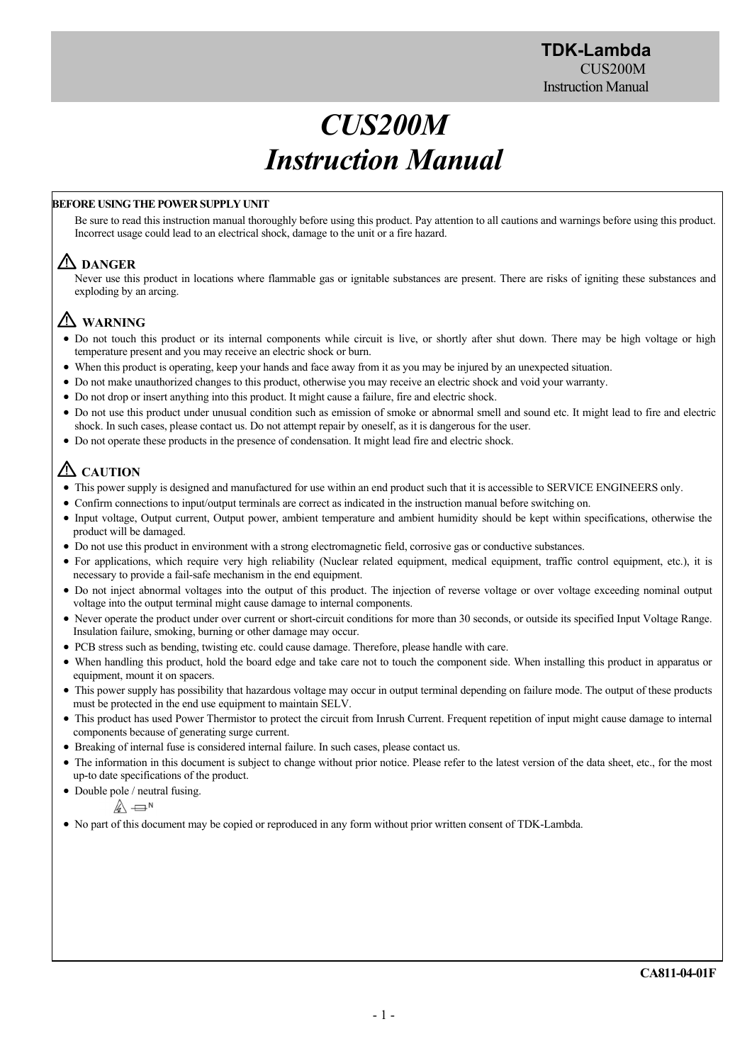# *CUS200M Instruction Manual*

# **BEFORE USING THE POWER SUPPLY UNIT**

Be sure to read this instruction manual thoroughly before using this product. Pay attention to all cautions and warnings before using this product. Incorrect usage could lead to an electrical shock, damage to the unit or a fire hazard.

# **DANGER**

Never use this product in locations where flammable gas or ignitable substances are present. There are risks of igniting these substances and exploding by an arcing.

# **WARNING**

- Do not touch this product or its internal components while circuit is live, or shortly after shut down. There may be high voltage or high temperature present and you may receive an electric shock or burn.
- When this product is operating, keep your hands and face away from it as you may be injured by an unexpected situation.
- Do not make unauthorized changes to this product, otherwise you may receive an electric shock and void your warranty.
- Do not drop or insert anything into this product. It might cause a failure, fire and electric shock.
- Do not use this product under unusual condition such as emission of smoke or abnormal smell and sound etc. It might lead to fire and electric shock. In such cases, please contact us. Do not attempt repair by oneself, as it is dangerous for the user.
- Do not operate these products in the presence of condensation. It might lead fire and electric shock.

# **CAUTION**

- This power supply is designed and manufactured for use within an end product such that it is accessible to SERVICE ENGINEERS only.
- Confirm connections to input/output terminals are correct as indicated in the instruction manual before switching on.
- Input voltage, Output current, Output power, ambient temperature and ambient humidity should be kept within specifications, otherwise the product will be damaged.
- Do not use this product in environment with a strong electromagnetic field, corrosive gas or conductive substances.
- For applications, which require very high reliability (Nuclear related equipment, medical equipment, traffic control equipment, etc.), it is necessary to provide a fail-safe mechanism in the end equipment.
- Do not inject abnormal voltages into the output of this product. The injection of reverse voltage or over voltage exceeding nominal output voltage into the output terminal might cause damage to internal components.
- Never operate the product under over current or short-circuit conditions for more than 30 seconds, or outside its specified Input Voltage Range. Insulation failure, smoking, burning or other damage may occur.
- PCB stress such as bending, twisting etc. could cause damage. Therefore, please handle with care.
- When handling this product, hold the board edge and take care not to touch the component side. When installing this product in apparatus or equipment, mount it on spacers.
- This power supply has possibility that hazardous voltage may occur in output terminal depending on failure mode. The output of these products must be protected in the end use equipment to maintain SELV.
- This product has used Power Thermistor to protect the circuit from Inrush Current. Frequent repetition of input might cause damage to internal components because of generating surge current.
- Breaking of internal fuse is considered internal failure. In such cases, please contact us.
- The information in this document is subject to change without prior notice. Please refer to the latest version of the data sheet, etc., for the most up-to date specifications of the product.
- Double pole / neutral fusing.

$$
\mathbb{A} \rightleftharpoons
$$
<sup>N</sup>

No part of this document may be copied or reproduced in any form without prior written consent of TDK-Lambda.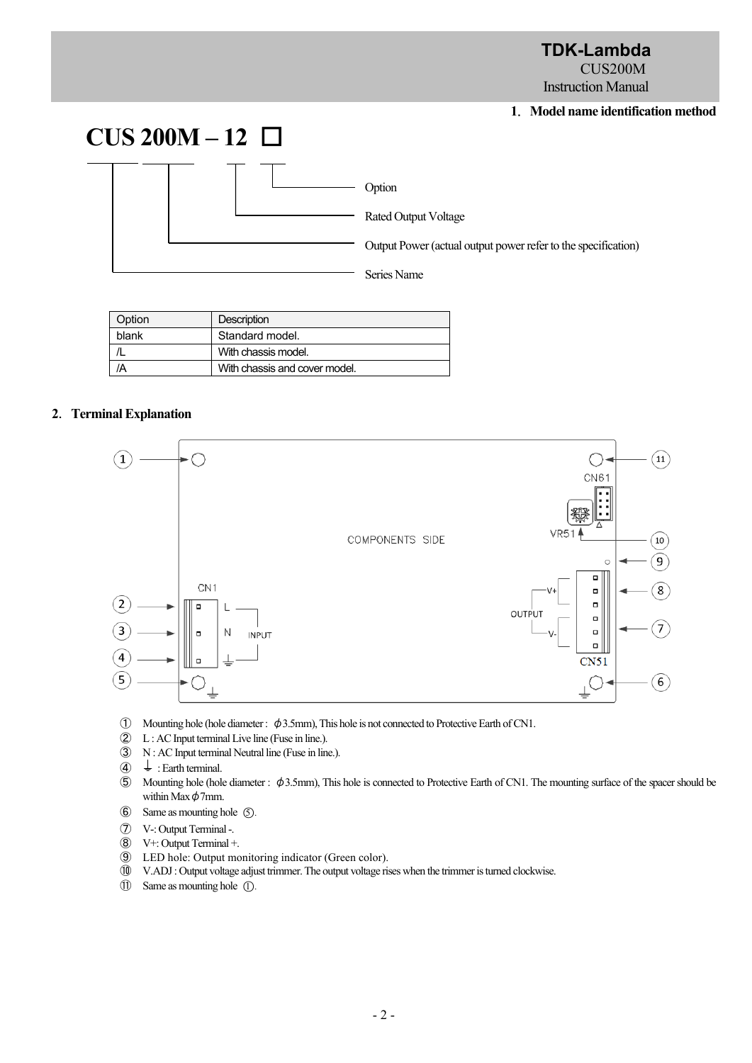**TDK-Lambda**  CUS<sub>200</sub>M Instruction Manual

## **1**.**Model name identification method**



| Option | <b>Description</b>            |  |  |  |
|--------|-------------------------------|--|--|--|
| blank  | Standard model.               |  |  |  |
|        | With chassis model.           |  |  |  |
|        | With chassis and cover model. |  |  |  |

# **2**.**Terminal Explanation**



- ① Mounting hole (hole diameter : φ3.5mm), This hole is not connected to Protective Earth of CN1.
- ② L : AC Input terminal Live line (Fuse in line.).
- ③ N : AC Input terminal Neutral line (Fuse in line.).
- $\overline{4}$  : Earth terminal.
- ⑤ Mounting hole (hole diameter : φ3.5mm), This hole is connected to Protective Earth of CN1. The mounting surface of the spacer should be within Max  $\phi$ 7mm.
- $\bullet$  Same as mounting hole  $\circ$ .
- ⑦ V-: Output Terminal -.
- ⑧ V+: Output Terminal +.
- ⑨ LED hole: Output monitoring indicator (Green color).
- ⑩ V.ADJ : Output voltage adjust trimmer. The output voltage rises when the trimmer is turned clockwise.
- ⑪ Same as mounting hole ○1 .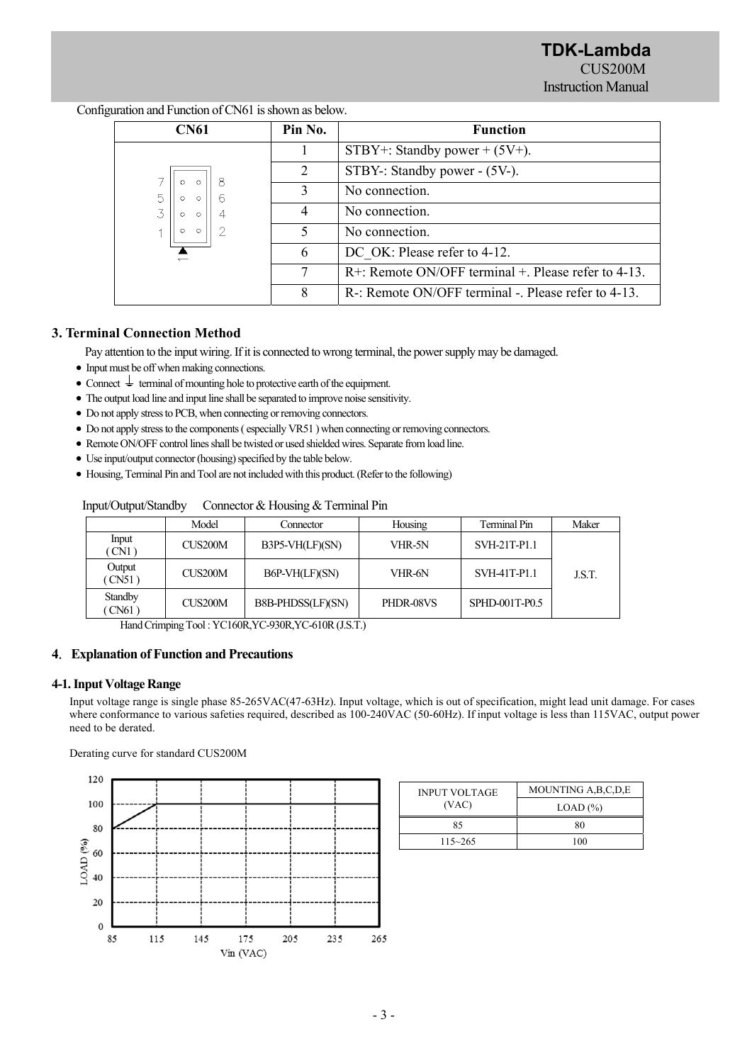**TDK-Lambda**  CUS<sub>200</sub>M Instruction Manual

| <b>CN61</b>                          | Pin No. | <b>Function</b>                                        |
|--------------------------------------|---------|--------------------------------------------------------|
|                                      |         | STBY+: Standby power + $(5V+)$ .                       |
|                                      | 2       | STBY-: Standby power - (5V-).                          |
| $\circ$<br>$\circ$                   | 3       | No connection.                                         |
| $\overline{z}$<br>$\circ$<br>$\circ$ | 4       | No connection.                                         |
| $\circ$<br>$\circ$                   |         | No connection.                                         |
|                                      | 6       | DC OK: Please refer to 4-12.                           |
|                                      | 7       | $R$ +: Remote ON/OFF terminal +. Please refer to 4-13. |
|                                      | 8       | R-: Remote ON/OFF terminal -. Please refer to 4-13.    |

Configuration and Function of CN61 is shown as below.

# **3. Terminal Connection Method**

Pay attention to the input wiring. If it is connected to wrong terminal, the power supply may be damaged.

- Input must be off when making connections.
- Connect  $\frac{1}{x}$  terminal of mounting hole to protective earth of the equipment.
- The output load line and input line shall be separated to improve noise sensitivity.
- Do not apply stress to PCB, when connecting or removing connectors.
- Do not apply stress to the components ( especially VR51 ) when connecting or removing connectors.
- Remote ON/OFF control lines shall be twisted or used shielded wires. Separate from load line.
- Use input/output connector (housing) specified by the table below.
- Housing, Terminal Pin and Tool are not included with this product. (Refer to the following)

| $m_{\rm P}$ or $v_{\rm P}$ or $v_{\rm P}$ control |         |                   |           |                |        |  |
|---------------------------------------------------|---------|-------------------|-----------|----------------|--------|--|
|                                                   | Model   | Connector         | Housing   | Terminal Pin   | Maker  |  |
| Input<br>CN1)                                     | CUS200M | B3P5-VH(LF)(SN)   | VHR-5N    | SVH-21T-P1.1   |        |  |
| Output<br>$\sqrt{\text{CN51}}$                    | CUS200M | B6P-VH(LF)(SN)    | VHR-6N    | SVH-41T-P1.1   | J.S.T. |  |
| Standby<br>CN61)                                  | CUS200M | B8B-PHDSS(LF)(SN) | PHDR-08VS | SPHD-001T-P0.5 |        |  |

Input/Output/Standby Connector & Housing & Terminal Pin

Hand Crimping Tool : YC160R,YC-930R,YC-610R (J.S.T.)

#### **4**.**Explanation of Function and Precautions**

### **4-1. Input Voltage Range**

Input voltage range is single phase 85-265VAC(47-63Hz). Input voltage, which is out of specification, might lead unit damage. For cases where conformance to various safeties required, described as 100-240VAC (50-60Hz). If input voltage is less than 115VAC, output power need to be derated.

Derating curve for standard CUS200M



| <b>INPUT VOLTAGE</b> | MOUNTING A, B, C, D, E |  |  |
|----------------------|------------------------|--|--|
| (VAC)                | $LOAD$ $%$             |  |  |
| 85                   | 80                     |  |  |
| $115 - 265$          | 100                    |  |  |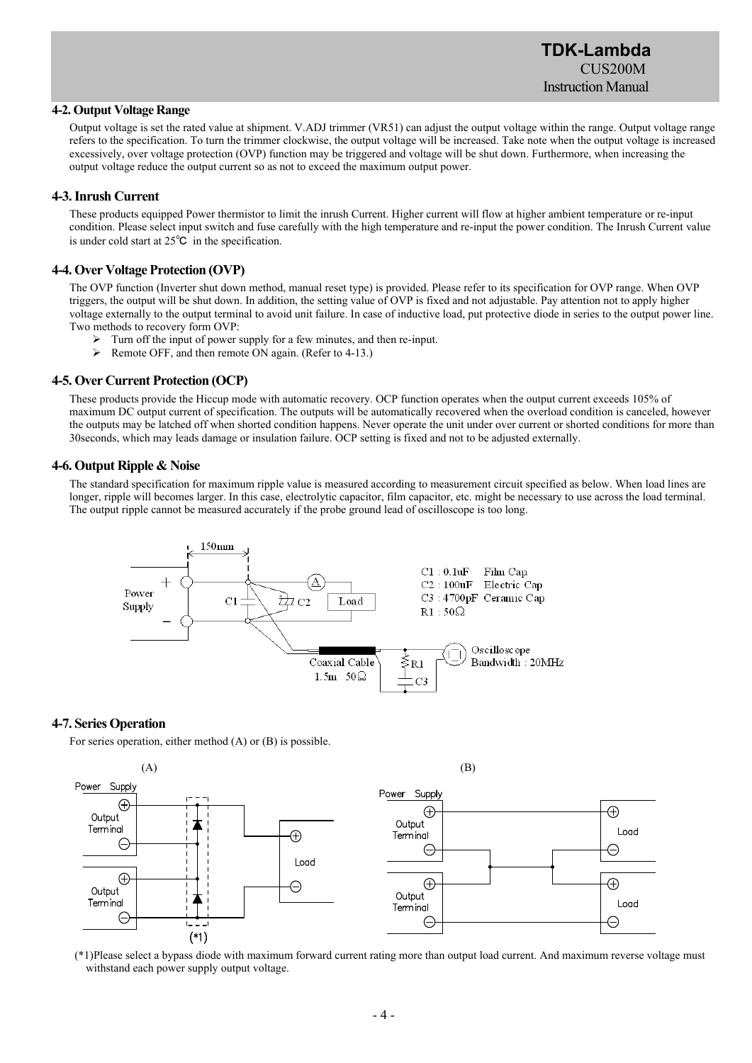# **TDK-Lambda**   $CI$ <sub>IS200</sub>M Instruction Manual

## **4-2. Output Voltage Range**

Output voltage is set the rated value at shipment. V.ADJ trimmer (VR51) can adjust the output voltage within the range. Output voltage range refers to the specification. To turn the trimmer clockwise, the output voltage will be increased. Take note when the output voltage is increased excessively, over voltage protection (OVP) function may be triggered and voltage will be shut down. Furthermore, when increasing the output voltage reduce the output current so as not to exceed the maximum output power.

### **4-3. Inrush Current**

These products equipped Power thermistor to limit the inrush Current. Higher current will flow at higher ambient temperature or re-input condition. Please select input switch and fuse carefully with the high temperature and re-input the power condition. The Inrush Current value is under cold start at 25℃ in the specification.

### **4-4. Over Voltage Protection (OVP)**

The OVP function (Inverter shut down method, manual reset type) is provided. Please refer to its specification for OVP range. When OVP triggers, the output will be shut down. In addition, the setting value of OVP is fixed and not adjustable. Pay attention not to apply higher voltage externally to the output terminal to avoid unit failure. In case of inductive load, put protective diode in series to the output power line. Two methods to recovery form OVP:

- Turn off the input of power supply for a few minutes, and then re-input.
- Remote OFF, and then remote ON again. (Refer to 4-13.)

## **4-5. Over Current Protection (OCP)**

These products provide the Hiccup mode with automatic recovery. OCP function operates when the output current exceeds 105% of maximum DC output current of specification. The outputs will be automatically recovered when the overload condition is canceled, however the outputs may be latched off when shorted condition happens. Never operate the unit under over current or shorted conditions for more than 30seconds, which may leads damage or insulation failure. OCP setting is fixed and not to be adjusted externally.

### **4-6. Output Ripple & Noise**

The standard specification for maximum ripple value is measured according to measurement circuit specified as below. When load lines are longer, ripple will becomes larger. In this case, electrolytic capacitor, film capacitor, etc. might be necessary to use across the load terminal. The output ripple cannot be measured accurately if the probe ground lead of oscilloscope is too long.



#### **4-7. Series Operation**

For series operation, either method (A) or (B) is possible.



withstand each power supply output voltage.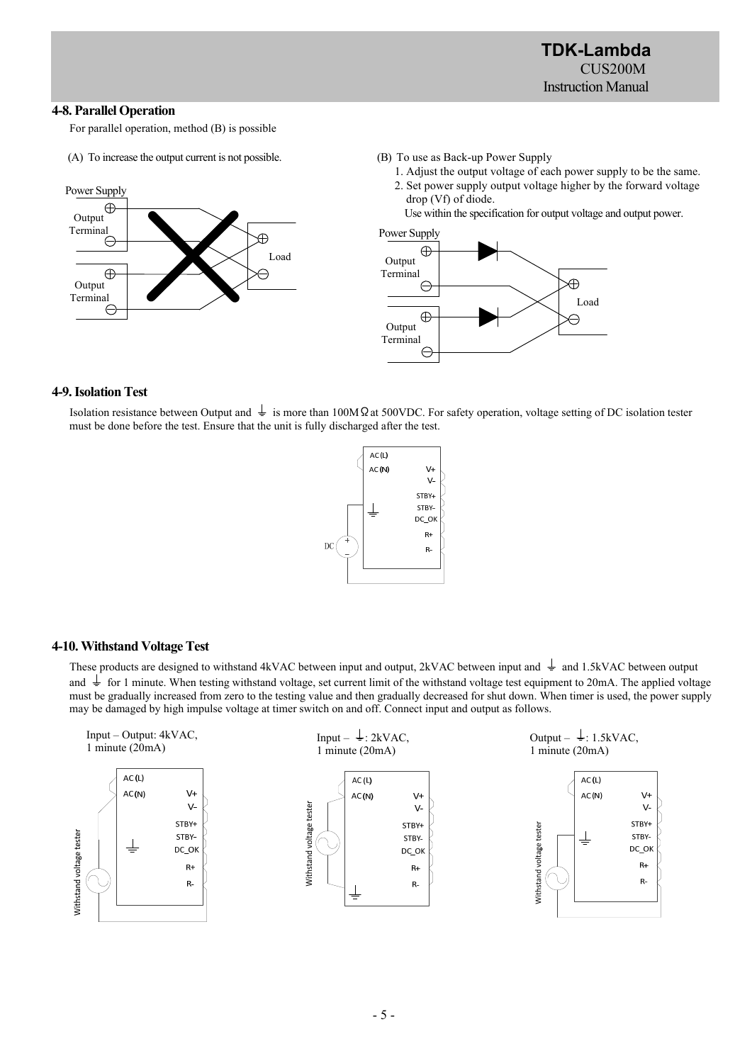# **4-8. Parallel Operation**

For parallel operation, method (B) is possible

(A) To increase the output current is not possible.



(B) To use as Back-up Power Supply

 1. Adjust the output voltage of each power supply to be the same. 2. Set power supply output voltage higher by the forward voltage drop (Vf) of diode.

Use within the specification for output voltage and output power.



#### **4-9. Isolation Test**

Isolation resistance between Output and  $\frac{1}{\epsilon}$  is more than 100MΩat 500VDC. For safety operation, voltage setting of DC isolation tester must be done before the test. Ensure that the unit is fully discharged after the test.



# **4-10. Withstand Voltage Test**

These products are designed to withstand 4kVAC between input and output, 2kVAC between input and  $\frac{1}{\pi}$  and 1.5kVAC between output and  $\frac{1}{\epsilon}$  for 1 minute. When testing withstand voltage, set current limit of the withstand voltage test equipment to 20mA. The applied voltage must be gradually increased from zero to the testing value and then gradually decreased for shut down. When timer is used, the power supply may be damaged by high impulse voltage at timer switch on and off. Connect input and output as follows.

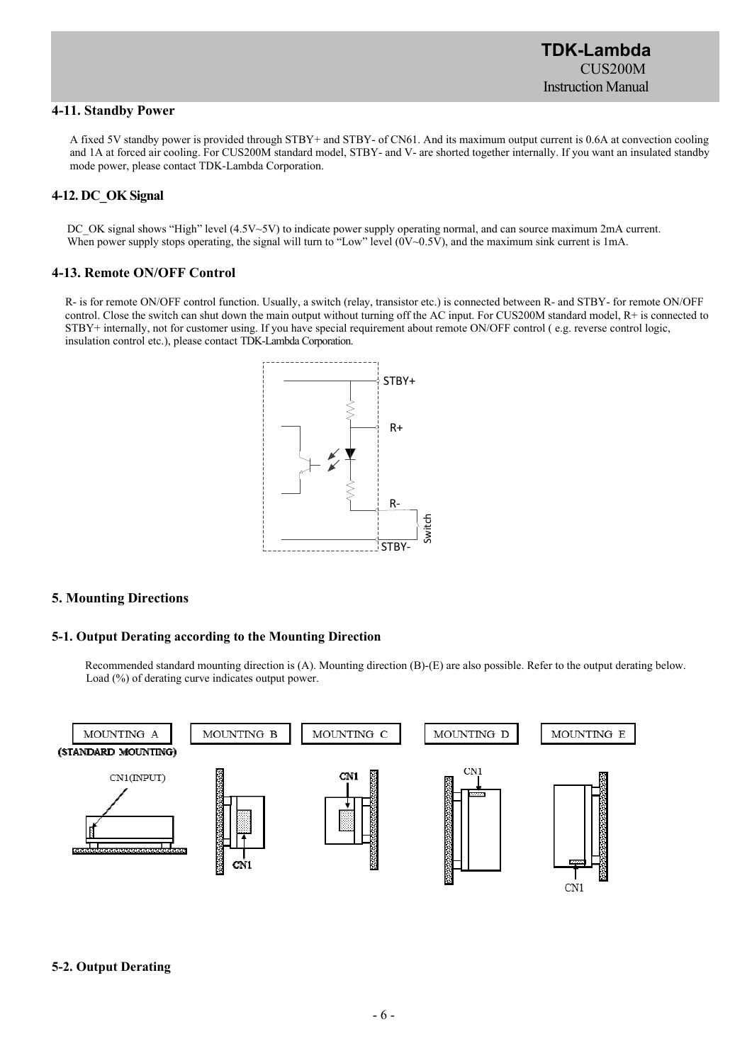# **4-11. Standby Power**

A fixed 5V standby power is provided through STBY+ and STBY- of CN61. And its maximum output current is 0.6A at convection cooling and 1A at forced air cooling. For CUS200M standard model, STBY- and V- are shorted together internally. If you want an insulated standby mode power, please contact TDK-Lambda Corporation.

# **4-12. DC\_OK Signal**

DC\_OK signal shows "High" level (4.5V~5V) to indicate power supply operating normal, and can source maximum 2mA current. When power supply stops operating, the signal will turn to "Low" level (0V~0.5V), and the maximum sink current is 1mA.

# **4-13. Remote ON/OFF Control**

 R- is for remote ON/OFF control function. Usually, a switch (relay, transistor etc.) is connected between R- and STBY- for remote ON/OFF control. Close the switch can shut down the main output without turning off the AC input. For CUS200M standard model, R+ is connected to STBY+ internally, not for customer using. If you have special requirement about remote ON/OFF control ( e.g. reverse control logic, insulation control etc.), please contact TDK-Lambda Corporation.



# **5. Mounting Directions**

# **5-1. Output Derating according to the Mounting Direction**

Recommended standard mounting direction is (A). Mounting direction (B)-(E) are also possible. Refer to the output derating below. Load (%) of derating curve indicates output power.



# **5-2. Output Derating**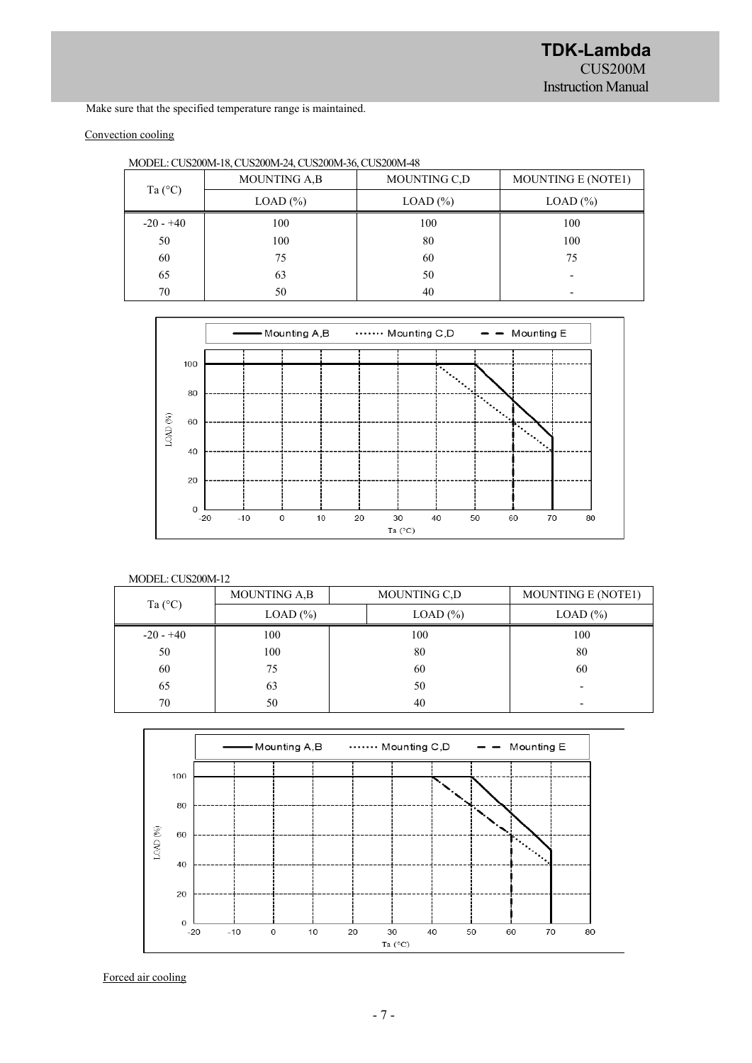Make sure that the specified temperature range is maintained.

# Convection cooling

|                  | <b>MOUNTING A,B</b> | MOUNTING C.D                  | <b>MOUNTING E (NOTE1)</b> |  |
|------------------|---------------------|-------------------------------|---------------------------|--|
| Ta $(^{\circ}C)$ | $LOAD$ $%$          | $LOAD$ $%$<br>100<br>80<br>60 | $LOAD$ $%$                |  |
| $-20 - +40$      | 100                 |                               | 100                       |  |
| 50               | 100                 |                               | 100                       |  |
| 60               | 75                  |                               | 75                        |  |
| 65               | 63                  | 50                            |                           |  |
| 70               | 50                  | 40                            | $\overline{\phantom{0}}$  |  |





## MODEL: CUS200M-12

| MOUNTING A,B<br>Ta $(^{\circ}C)$<br>$LOAD$ $%$<br>100<br>$-20 - +40$<br>50<br>100 |              | MOUNTING C,D |     | <b>MOUNTING E (NOTE1)</b> |  |
|-----------------------------------------------------------------------------------|--------------|--------------|-----|---------------------------|--|
|                                                                                   | $LOAD (\% )$ | $LOAD$ $%$   |     |                           |  |
|                                                                                   |              |              | 100 | 100                       |  |
|                                                                                   |              |              | 80  | 80                        |  |
| 60                                                                                | 75           |              | 60  | 60                        |  |
| 65                                                                                | 63           |              | 50  |                           |  |
| 70                                                                                | 50           |              | 40  | -                         |  |



Forced air cooling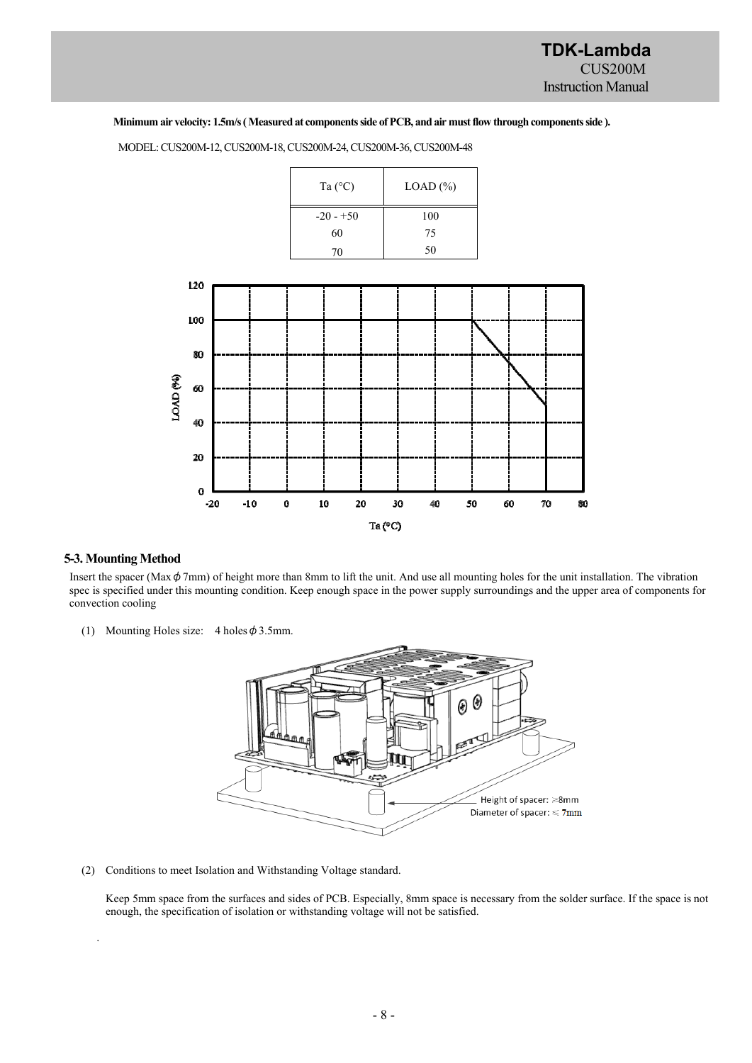#### **Minimum air velocity: 1.5m/s( Measured at components side of PCB, and air must flow through components side ).**



MODEL: CUS200M-12, CUS200M-18, CUS200M-24, CUS200M-36, CUS200M-48

#### **5-3. Mounting Method**

.

Insert the spacer (Max $\phi$ 7mm) of height more than 8mm to lift the unit. And use all mounting holes for the unit installation. The vibration spec is specified under this mounting condition. Keep enough space in the power supply surroundings and the upper area of components for convection cooling

(1) Mounting Holes size:  $4$  holes  $\phi$  3.5mm.



(2) Conditions to meet Isolation and Withstanding Voltage standard.

Keep 5mm space from the surfaces and sides of PCB. Especially, 8mm space is necessary from the solder surface. If the space is not enough, the specification of isolation or withstanding voltage will not be satisfied.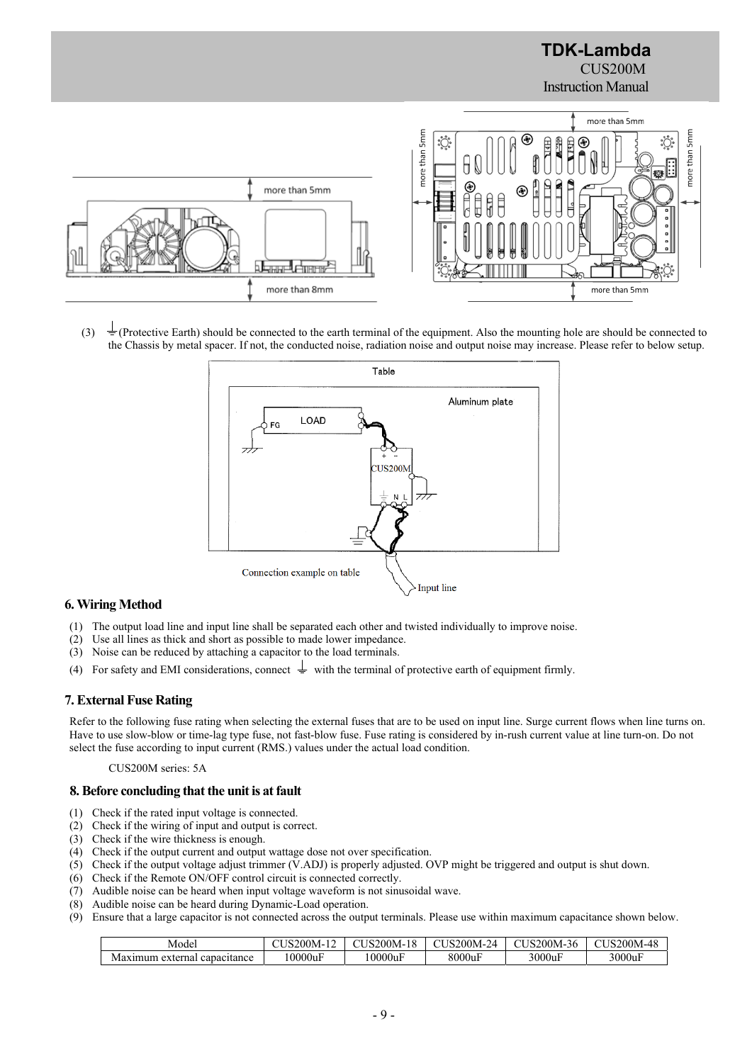

(3)  $\pm$  (Protective Earth) should be connected to the earth terminal of the equipment. Also the mounting hole are should be connected to the Chassis by metal spacer. If not, the conducted noise, radiation noise and output noise may increase. Please refer to below setup.



# **6. Wiring Method**

- (1) The output load line and input line shall be separated each other and twisted individually to improve noise.
- (2) Use all lines as thick and short as possible to made lower impedance.
- (3) Noise can be reduced by attaching a capacitor to the load terminals.
- (4) For safety and EMI considerations, connect  $\frac{1}{x}$  with the terminal of protective earth of equipment firmly.

# **7. External Fuse Rating**

Refer to the following fuse rating when selecting the external fuses that are to be used on input line. Surge current flows when line turns on. Have to use slow-blow or time-lag type fuse, not fast-blow fuse. Fuse rating is considered by in-rush current value at line turn-on. Do not select the fuse according to input current (RMS.) values under the actual load condition.

#### CUS200M series: 5A

#### **8. Before concluding that the unit is at fault**

- (1) Check if the rated input voltage is connected.
- (2) Check if the wiring of input and output is correct.
- (3) Check if the wire thickness is enough.
- (4) Check if the output current and output wattage dose not over specification.
- (5) Check if the output voltage adjust trimmer (V.ADJ) is properly adjusted. OVP might be triggered and output is shut down.
- (6) Check if the Remote ON/OFF control circuit is connected correctly.
- (7) Audible noise can be heard when input voltage waveform is not sinusoidal wave.
- (8) Audible noise can be heard during Dynamic-Load operation.
- (9) Ensure that a large capacitor is not connected across the output terminals. Please use within maximum capacitance shown below.

| Model                                                | $1200M - 1$<br>$\sim$ | $\text{Li}_\text{S200M-10}$ | - 200M-^ $^{\circ}$ | $\sim$<br>$200M -$<br>$\sim$ TM $\prime$<br>.36 | 200M-48, |
|------------------------------------------------------|-----------------------|-----------------------------|---------------------|-------------------------------------------------|----------|
| ∗terna.<br>capacitance<br>ex'<br>11331113<br>VIAXIL. | 10000uF               | 10000uF                     | 8000uF              | 3000uF<br>$\mathbf{r}$                          | 3000uI   |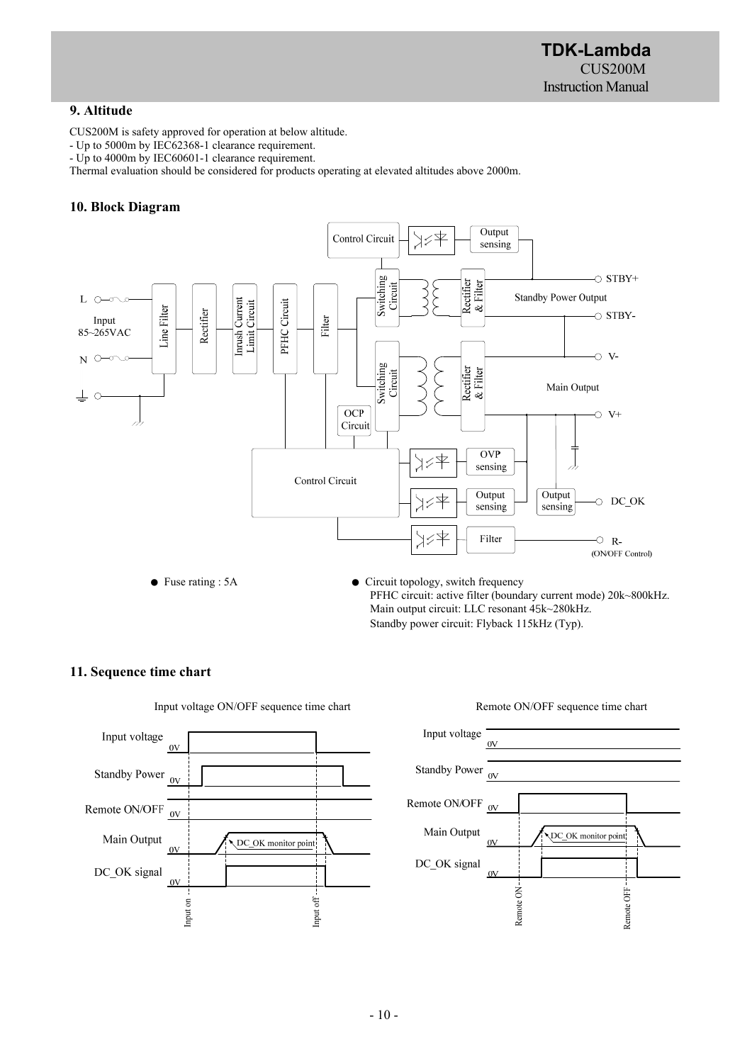**TDK-Lambda**  CUS200M Instruction Manual

# **9. Altitude**

CUS200M is safety approved for operation at below altitude.

- Up to 5000m by IEC62368-1 clearance requirement.

- Up to 4000m by IEC60601-1 clearance requirement.

Thermal evaluation should be considered for products operating at elevated altitudes above 2000m.

# **10. Block Diagram**



Standby power circuit: Flyback 115kHz (Typ).

# **11. Sequence time chart**



Input voltage ON/OFF sequence time chart Remote ON/OFF sequence time chart

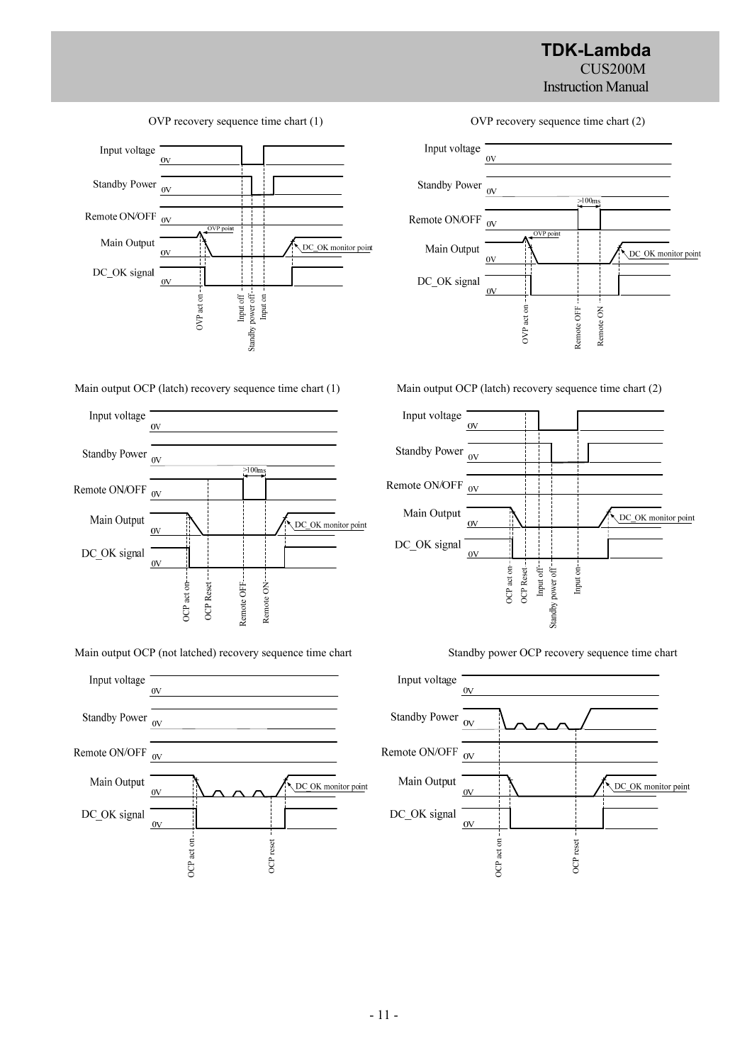# **TDK-Lambda**  CUS200M Instruction Manual



Main output OCP (latch) recovery sequence time chart (1) Main output OCP (latch) recovery sequence time chart (2)



Main output OCP (not latched) recovery sequence time chart Standby power OCP recovery sequence time chart